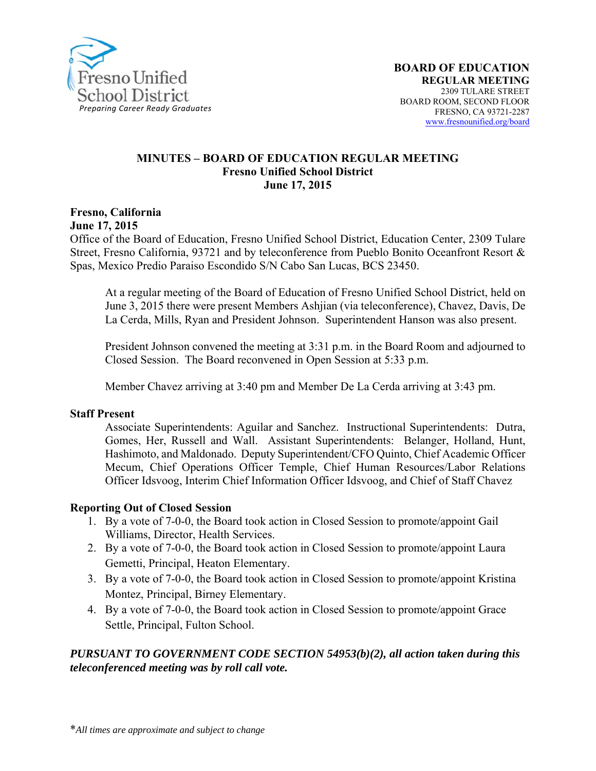

#### **MINUTES – BOARD OF EDUCATION REGULAR MEETING Fresno Unified School District June 17, 2015**

**Fresno, California** 

**June 17, 2015** 

Office of the Board of Education, Fresno Unified School District, Education Center, 2309 Tulare Street, Fresno California, 93721 and by teleconference from Pueblo Bonito Oceanfront Resort & Spas, Mexico Predio Paraiso Escondido S/N Cabo San Lucas, BCS 23450.

At a regular meeting of the Board of Education of Fresno Unified School District, held on June 3, 2015 there were present Members Ashjian (via teleconference), Chavez, Davis, De La Cerda, Mills, Ryan and President Johnson. Superintendent Hanson was also present.

President Johnson convened the meeting at 3:31 p.m. in the Board Room and adjourned to Closed Session. The Board reconvened in Open Session at 5:33 p.m.

Member Chavez arriving at 3:40 pm and Member De La Cerda arriving at 3:43 pm.

#### **Staff Present**

Associate Superintendents: Aguilar and Sanchez. Instructional Superintendents: Dutra, Gomes, Her, Russell and Wall. Assistant Superintendents: Belanger, Holland, Hunt, Hashimoto, and Maldonado. Deputy Superintendent/CFO Quinto, Chief Academic Officer Mecum, Chief Operations Officer Temple, Chief Human Resources/Labor Relations Officer Idsvoog, Interim Chief Information Officer Idsvoog, and Chief of Staff Chavez

### **Reporting Out of Closed Session**

- 1. By a vote of 7-0-0, the Board took action in Closed Session to promote/appoint Gail Williams, Director, Health Services.
- 2. By a vote of 7-0-0, the Board took action in Closed Session to promote/appoint Laura Gemetti, Principal, Heaton Elementary.
- 3. By a vote of 7-0-0, the Board took action in Closed Session to promote/appoint Kristina Montez, Principal, Birney Elementary.
- 4. By a vote of 7-0-0, the Board took action in Closed Session to promote/appoint Grace Settle, Principal, Fulton School.

## *PURSUANT TO GOVERNMENT CODE SECTION 54953(b)(2), all action taken during this teleconferenced meeting was by roll call vote.*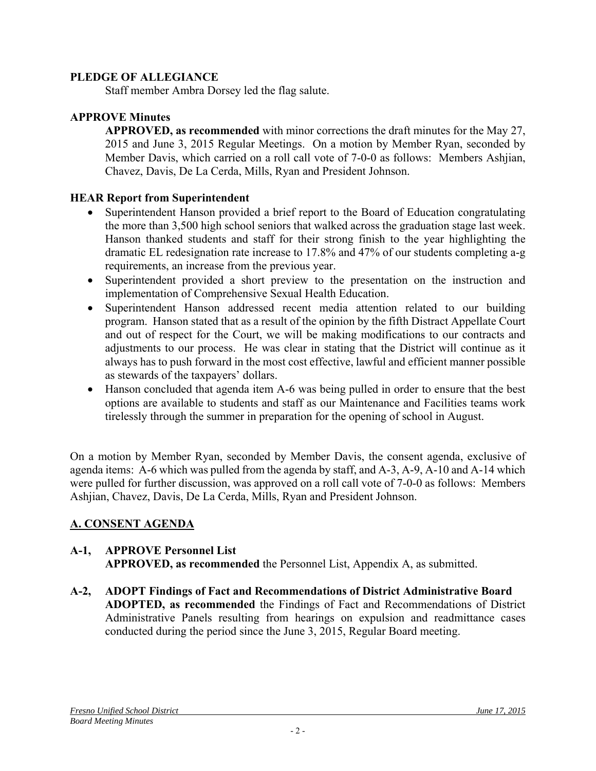### **PLEDGE OF ALLEGIANCE**

Staff member Ambra Dorsey led the flag salute.

## **APPROVE Minutes**

**APPROVED, as recommended** with minor corrections the draft minutes for the May 27, 2015 and June 3, 2015 Regular Meetings. On a motion by Member Ryan, seconded by Member Davis, which carried on a roll call vote of 7-0-0 as follows: Members Ashjian, Chavez, Davis, De La Cerda, Mills, Ryan and President Johnson.

## **HEAR Report from Superintendent**

- Superintendent Hanson provided a brief report to the Board of Education congratulating the more than 3,500 high school seniors that walked across the graduation stage last week. Hanson thanked students and staff for their strong finish to the year highlighting the dramatic EL redesignation rate increase to 17.8% and 47% of our students completing a-g requirements, an increase from the previous year.
- Superintendent provided a short preview to the presentation on the instruction and implementation of Comprehensive Sexual Health Education.
- Superintendent Hanson addressed recent media attention related to our building program. Hanson stated that as a result of the opinion by the fifth Distract Appellate Court and out of respect for the Court, we will be making modifications to our contracts and adjustments to our process. He was clear in stating that the District will continue as it always has to push forward in the most cost effective, lawful and efficient manner possible as stewards of the taxpayers' dollars.
- Hanson concluded that agenda item A-6 was being pulled in order to ensure that the best options are available to students and staff as our Maintenance and Facilities teams work tirelessly through the summer in preparation for the opening of school in August.

On a motion by Member Ryan, seconded by Member Davis, the consent agenda, exclusive of agenda items: A-6 which was pulled from the agenda by staff, and A-3, A-9, A-10 and A-14 which were pulled for further discussion, was approved on a roll call vote of 7-0-0 as follows: Members Ashjian, Chavez, Davis, De La Cerda, Mills, Ryan and President Johnson.

## **A. CONSENT AGENDA**

## **A-1, APPROVE Personnel List**

**APPROVED, as recommended** the Personnel List, Appendix A, as submitted.

**A-2, ADOPT Findings of Fact and Recommendations of District Administrative Board ADOPTED, as recommended** the Findings of Fact and Recommendations of District Administrative Panels resulting from hearings on expulsion and readmittance cases conducted during the period since the June 3, 2015, Regular Board meeting.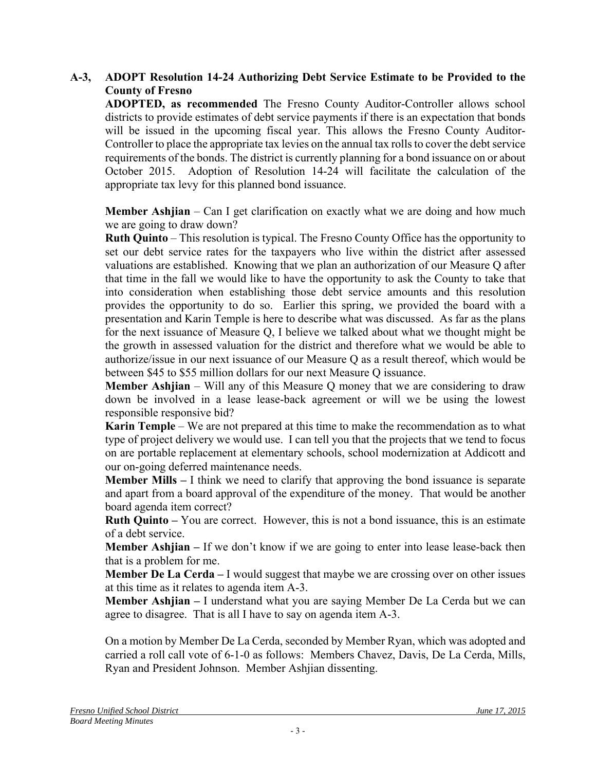### **A-3, ADOPT Resolution 14-24 Authorizing Debt Service Estimate to be Provided to the County of Fresno**

**ADOPTED, as recommended** The Fresno County Auditor-Controller allows school districts to provide estimates of debt service payments if there is an expectation that bonds will be issued in the upcoming fiscal year. This allows the Fresno County Auditor-Controller to place the appropriate tax levies on the annual tax rolls to cover the debt service requirements of the bonds. The district is currently planning for a bond issuance on or about October 2015. Adoption of Resolution 14-24 will facilitate the calculation of the appropriate tax levy for this planned bond issuance.

**Member Ashjian** – Can I get clarification on exactly what we are doing and how much we are going to draw down?

**Ruth Quinto** – This resolution is typical. The Fresno County Office has the opportunity to set our debt service rates for the taxpayers who live within the district after assessed valuations are established. Knowing that we plan an authorization of our Measure Q after that time in the fall we would like to have the opportunity to ask the County to take that into consideration when establishing those debt service amounts and this resolution provides the opportunity to do so. Earlier this spring, we provided the board with a presentation and Karin Temple is here to describe what was discussed. As far as the plans for the next issuance of Measure Q, I believe we talked about what we thought might be the growth in assessed valuation for the district and therefore what we would be able to authorize/issue in our next issuance of our Measure Q as a result thereof, which would be between \$45 to \$55 million dollars for our next Measure Q issuance.

**Member Ashijan** – Will any of this Measure Q money that we are considering to draw down be involved in a lease lease-back agreement or will we be using the lowest responsible responsive bid?

**Karin Temple** – We are not prepared at this time to make the recommendation as to what type of project delivery we would use. I can tell you that the projects that we tend to focus on are portable replacement at elementary schools, school modernization at Addicott and our on-going deferred maintenance needs.

**Member Mills** – I think we need to clarify that approving the bond issuance is separate and apart from a board approval of the expenditure of the money. That would be another board agenda item correct?

**Ruth Quinto –** You are correct. However, this is not a bond issuance, this is an estimate of a debt service.

**Member Ashjian** – If we don't know if we are going to enter into lease lease-back then that is a problem for me.

**Member De La Cerda** – I would suggest that maybe we are crossing over on other issues at this time as it relates to agenda item A-3.

**Member Ashjian –** I understand what you are saying Member De La Cerda but we can agree to disagree. That is all I have to say on agenda item A-3.

On a motion by Member De La Cerda, seconded by Member Ryan, which was adopted and carried a roll call vote of 6-1-0 as follows: Members Chavez, Davis, De La Cerda, Mills, Ryan and President Johnson. Member Ashjian dissenting.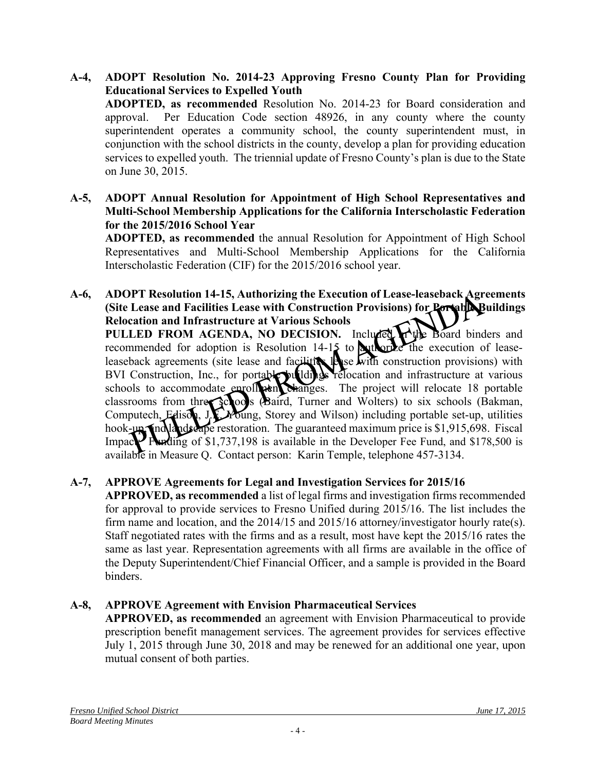- **A-4, ADOPT Resolution No. 2014-23 Approving Fresno County Plan for Providing Educational Services to Expelled Youth ADOPTED, as recommended** Resolution No. 2014-23 for Board consideration and approval. Per Education Code section 48926, in any county where the county superintendent operates a community school, the county superintendent must, in conjunction with the school districts in the county, develop a plan for providing education services to expelled youth. The triennial update of Fresno County's plan is due to the State on June 30, 2015.
- **A-5, ADOPT Annual Resolution for Appointment of High School Representatives and Multi-School Membership Applications for the California Interscholastic Federation for the 2015/2016 School Year**

**ADOPTED, as recommended** the annual Resolution for Appointment of High School Representatives and Multi-School Membership Applications for the California Interscholastic Federation (CIF) for the 2015/2016 school year.

**A-6, ADOPT Resolution 14-15, Authorizing the Execution of Lease-leaseback Agreements (Site Lease and Facilities Lease with Construction Provisions) for Rortable Buildings Relocation and Infrastructure at Various Schools PULLED FROM AGENDA, NO DECISION.** Included  $\mathbf{A}$  the Board binders and recommended for adoption is Resolution 14-15 to authorize the execution of leaseleaseback agreements (site lease and facilities lease with construction provisions) with BVI Construction, Inc., for portable buildings relocation and infrastructure at various schools to accommodate enroll and changes. The project will relocate 18 portable classrooms from three schools (Baird, Turner and Wolters) to six schools (Bakman, Computech, Edison, J.E. *Young*, Storey and Wilson) including portable set-up, utilities hook-up, and landscape restoration. The guaranteed maximum price is \$1,915,698. Fiscal Impace: Funding of \$1,737,198 is available in the Developer Fee Fund, and \$178,500 is available in Measure Q. Contact person: Karin Temple, telephone 457-3134.

## **A-7, APPROVE Agreements for Legal and Investigation Services for 2015/16**

**APPROVED, as recommended** a list of legal firms and investigation firms recommended for approval to provide services to Fresno Unified during 2015/16. The list includes the firm name and location, and the  $2014/15$  and  $2015/16$  attorney/investigator hourly rate(s). Staff negotiated rates with the firms and as a result, most have kept the 2015/16 rates the same as last year. Representation agreements with all firms are available in the office of the Deputy Superintendent/Chief Financial Officer, and a sample is provided in the Board binders.

## **A-8, APPROVE Agreement with Envision Pharmaceutical Services**

**APPROVED, as recommended** an agreement with Envision Pharmaceutical to provide prescription benefit management services. The agreement provides for services effective July 1, 2015 through June 30, 2018 and may be renewed for an additional one year, upon mutual consent of both parties.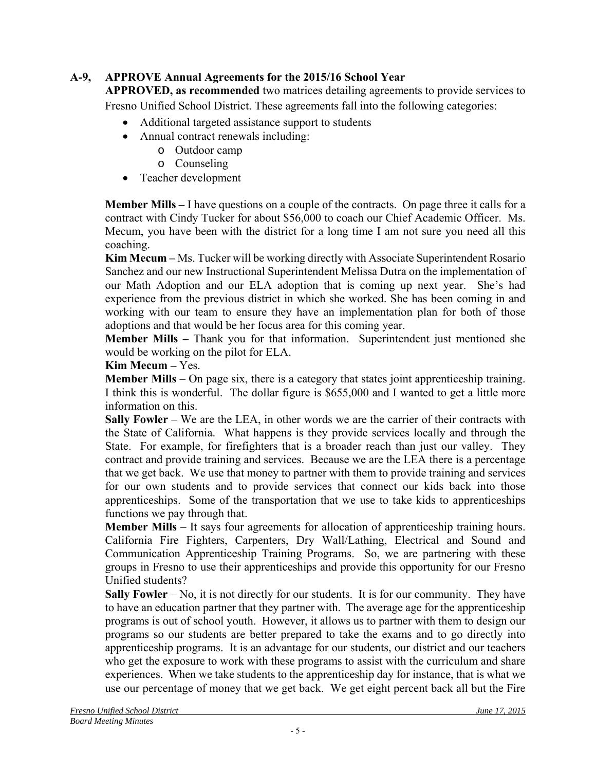# **A-9, APPROVE Annual Agreements for the 2015/16 School Year**

**APPROVED, as recommended** two matrices detailing agreements to provide services to Fresno Unified School District. These agreements fall into the following categories:

- Additional targeted assistance support to students
- Annual contract renewals including:
	- o Outdoor camp
	- o Counseling
- Teacher development

**Member Mills –** I have questions on a couple of the contracts. On page three it calls for a contract with Cindy Tucker for about \$56,000 to coach our Chief Academic Officer. Ms. Mecum, you have been with the district for a long time I am not sure you need all this coaching.

**Kim Mecum –** Ms. Tucker will be working directly with Associate Superintendent Rosario Sanchez and our new Instructional Superintendent Melissa Dutra on the implementation of our Math Adoption and our ELA adoption that is coming up next year. She's had experience from the previous district in which she worked. She has been coming in and working with our team to ensure they have an implementation plan for both of those adoptions and that would be her focus area for this coming year.

**Member Mills –** Thank you for that information. Superintendent just mentioned she would be working on the pilot for ELA.

### **Kim Mecum –** Yes.

**Member Mills** – On page six, there is a category that states joint apprenticeship training. I think this is wonderful. The dollar figure is \$655,000 and I wanted to get a little more information on this.

**Sally Fowler** – We are the LEA, in other words we are the carrier of their contracts with the State of California. What happens is they provide services locally and through the State. For example, for firefighters that is a broader reach than just our valley. They contract and provide training and services. Because we are the LEA there is a percentage that we get back. We use that money to partner with them to provide training and services for our own students and to provide services that connect our kids back into those apprenticeships. Some of the transportation that we use to take kids to apprenticeships functions we pay through that.

**Member Mills** – It says four agreements for allocation of apprenticeship training hours. California Fire Fighters, Carpenters, Dry Wall/Lathing, Electrical and Sound and Communication Apprenticeship Training Programs. So, we are partnering with these groups in Fresno to use their apprenticeships and provide this opportunity for our Fresno Unified students?

**Sally Fowler** – No, it is not directly for our students. It is for our community. They have to have an education partner that they partner with. The average age for the apprenticeship programs is out of school youth. However, it allows us to partner with them to design our programs so our students are better prepared to take the exams and to go directly into apprenticeship programs. It is an advantage for our students, our district and our teachers who get the exposure to work with these programs to assist with the curriculum and share experiences. When we take students to the apprenticeship day for instance, that is what we use our percentage of money that we get back. We get eight percent back all but the Fire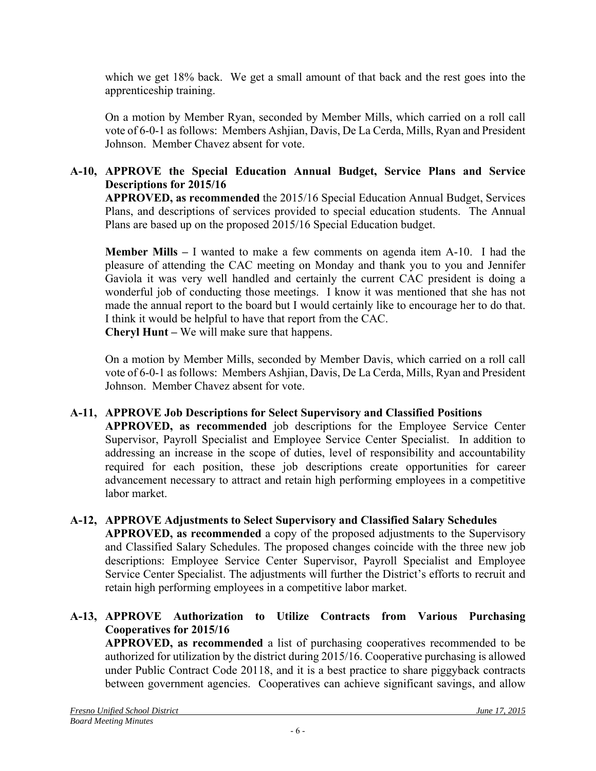which we get 18% back. We get a small amount of that back and the rest goes into the apprenticeship training.

On a motion by Member Ryan, seconded by Member Mills, which carried on a roll call vote of 6-0-1 as follows: Members Ashjian, Davis, De La Cerda, Mills, Ryan and President Johnson. Member Chavez absent for vote.

## **A-10, APPROVE the Special Education Annual Budget, Service Plans and Service Descriptions for 2015/16**

**APPROVED, as recommended** the 2015/16 Special Education Annual Budget, Services Plans, and descriptions of services provided to special education students. The Annual Plans are based up on the proposed 2015/16 Special Education budget.

**Member Mills –** I wanted to make a few comments on agenda item A-10. I had the pleasure of attending the CAC meeting on Monday and thank you to you and Jennifer Gaviola it was very well handled and certainly the current CAC president is doing a wonderful job of conducting those meetings. I know it was mentioned that she has not made the annual report to the board but I would certainly like to encourage her to do that. I think it would be helpful to have that report from the CAC. **Cheryl Hunt –** We will make sure that happens.

On a motion by Member Mills, seconded by Member Davis, which carried on a roll call vote of 6-0-1 as follows: Members Ashjian, Davis, De La Cerda, Mills, Ryan and President Johnson. Member Chavez absent for vote.

# **A-11, APPROVE Job Descriptions for Select Supervisory and Classified Positions**

**APPROVED, as recommended** job descriptions for the Employee Service Center Supervisor, Payroll Specialist and Employee Service Center Specialist. In addition to addressing an increase in the scope of duties, level of responsibility and accountability required for each position, these job descriptions create opportunities for career advancement necessary to attract and retain high performing employees in a competitive labor market.

#### **A-12, APPROVE Adjustments to Select Supervisory and Classified Salary Schedules APPROVED, as recommended** a copy of the proposed adjustments to the Supervisory and Classified Salary Schedules. The proposed changes coincide with the three new job descriptions: Employee Service Center Supervisor, Payroll Specialist and Employee Service Center Specialist. The adjustments will further the District's efforts to recruit and retain high performing employees in a competitive labor market.

# **A-13, APPROVE Authorization to Utilize Contracts from Various Purchasing Cooperatives for 2015/16**

**APPROVED, as recommended** a list of purchasing cooperatives recommended to be authorized for utilization by the district during 2015/16. Cooperative purchasing is allowed under Public Contract Code 20118, and it is a best practice to share piggyback contracts between government agencies. Cooperatives can achieve significant savings, and allow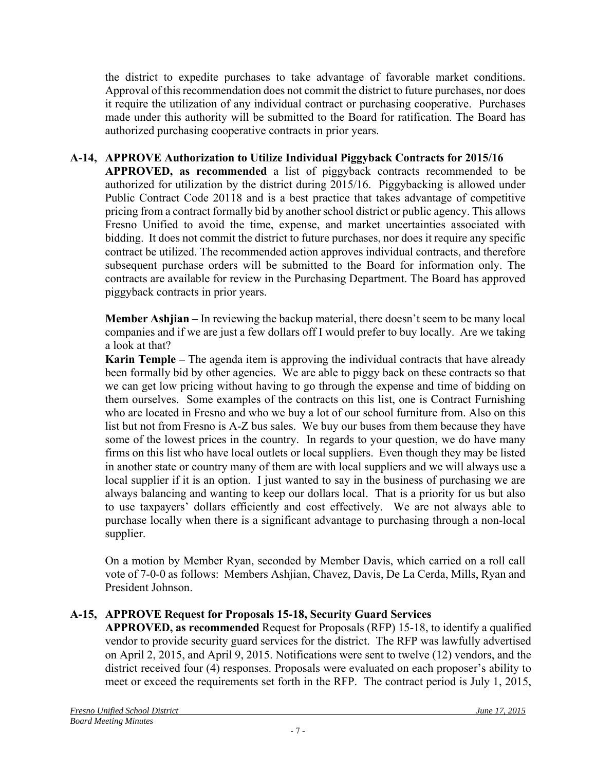the district to expedite purchases to take advantage of favorable market conditions. Approval of this recommendation does not commit the district to future purchases, nor does it require the utilization of any individual contract or purchasing cooperative. Purchases made under this authority will be submitted to the Board for ratification. The Board has authorized purchasing cooperative contracts in prior years.

## **A-14, APPROVE Authorization to Utilize Individual Piggyback Contracts for 2015/16**

**APPROVED, as recommended** a list of piggyback contracts recommended to be authorized for utilization by the district during 2015/16. Piggybacking is allowed under Public Contract Code 20118 and is a best practice that takes advantage of competitive pricing from a contract formally bid by another school district or public agency. This allows Fresno Unified to avoid the time, expense, and market uncertainties associated with bidding. It does not commit the district to future purchases, nor does it require any specific contract be utilized. The recommended action approves individual contracts, and therefore subsequent purchase orders will be submitted to the Board for information only. The contracts are available for review in the Purchasing Department. The Board has approved piggyback contracts in prior years.

**Member Ashjian –** In reviewing the backup material, there doesn't seem to be many local companies and if we are just a few dollars off I would prefer to buy locally. Are we taking a look at that?

**Karin Temple –** The agenda item is approving the individual contracts that have already been formally bid by other agencies. We are able to piggy back on these contracts so that we can get low pricing without having to go through the expense and time of bidding on them ourselves. Some examples of the contracts on this list, one is Contract Furnishing who are located in Fresno and who we buy a lot of our school furniture from. Also on this list but not from Fresno is A-Z bus sales. We buy our buses from them because they have some of the lowest prices in the country. In regards to your question, we do have many firms on this list who have local outlets or local suppliers. Even though they may be listed in another state or country many of them are with local suppliers and we will always use a local supplier if it is an option. I just wanted to say in the business of purchasing we are always balancing and wanting to keep our dollars local. That is a priority for us but also to use taxpayers' dollars efficiently and cost effectively. We are not always able to purchase locally when there is a significant advantage to purchasing through a non-local supplier.

On a motion by Member Ryan, seconded by Member Davis, which carried on a roll call vote of 7-0-0 as follows: Members Ashjian, Chavez, Davis, De La Cerda, Mills, Ryan and President Johnson.

## **A-15, APPROVE Request for Proposals 15-18, Security Guard Services**

**APPROVED, as recommended** Request for Proposals (RFP) 15-18, to identify a qualified vendor to provide security guard services for the district. The RFP was lawfully advertised on April 2, 2015, and April 9, 2015. Notifications were sent to twelve (12) vendors, and the district received four (4) responses. Proposals were evaluated on each proposer's ability to meet or exceed the requirements set forth in the RFP. The contract period is July 1, 2015,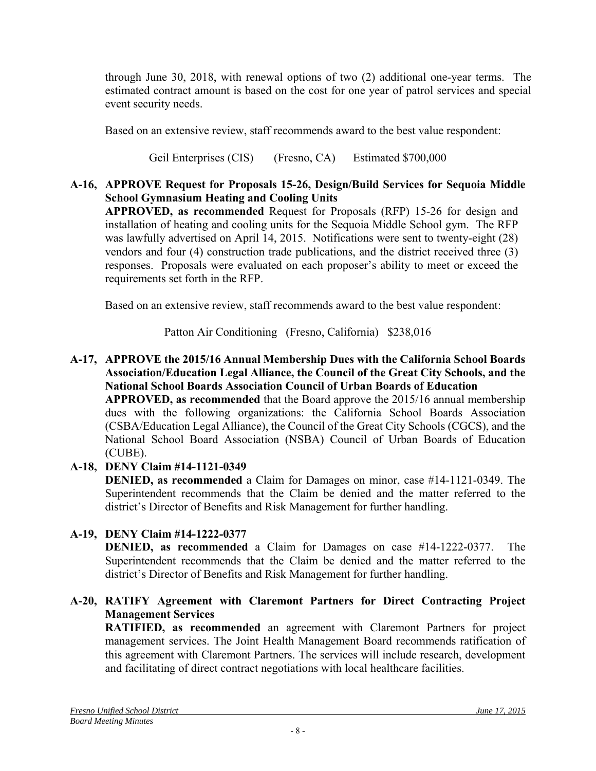through June 30, 2018, with renewal options of two (2) additional one-year terms. The estimated contract amount is based on the cost for one year of patrol services and special event security needs.

Based on an extensive review, staff recommends award to the best value respondent:

Geil Enterprises (CIS) (Fresno, CA) Estimated \$700,000

# **A-16, APPROVE Request for Proposals 15-26, Design/Build Services for Sequoia Middle School Gymnasium Heating and Cooling Units**

**APPROVED, as recommended** Request for Proposals (RFP) 15-26 for design and installation of heating and cooling units for the Sequoia Middle School gym. The RFP was lawfully advertised on April 14, 2015. Notifications were sent to twenty-eight (28) vendors and four (4) construction trade publications, and the district received three (3) responses. Proposals were evaluated on each proposer's ability to meet or exceed the requirements set forth in the RFP.

Based on an extensive review, staff recommends award to the best value respondent:

Patton Air Conditioning (Fresno, California) \$238,016

# **A-17, APPROVE the 2015/16 Annual Membership Dues with the California School Boards Association/Education Legal Alliance, the Council of the Great City Schools, and the National School Boards Association Council of Urban Boards of Education**

**APPROVED, as recommended** that the Board approve the 2015/16 annual membership dues with the following organizations: the California School Boards Association (CSBA/Education Legal Alliance), the Council of the Great City Schools (CGCS), and the National School Board Association (NSBA) Council of Urban Boards of Education (CUBE).

# **A-18, DENY Claim #14-1121-0349**

**DENIED, as recommended** a Claim for Damages on minor, case #14-1121-0349. The Superintendent recommends that the Claim be denied and the matter referred to the district's Director of Benefits and Risk Management for further handling.

# **A-19, DENY Claim #14-1222-0377**

**DENIED, as recommended** a Claim for Damages on case #14-1222-0377. The Superintendent recommends that the Claim be denied and the matter referred to the district's Director of Benefits and Risk Management for further handling.

# **A-20, RATIFY Agreement with Claremont Partners for Direct Contracting Project Management Services**

**RATIFIED, as recommended** an agreement with Claremont Partners for project management services. The Joint Health Management Board recommends ratification of this agreement with Claremont Partners. The services will include research, development and facilitating of direct contract negotiations with local healthcare facilities.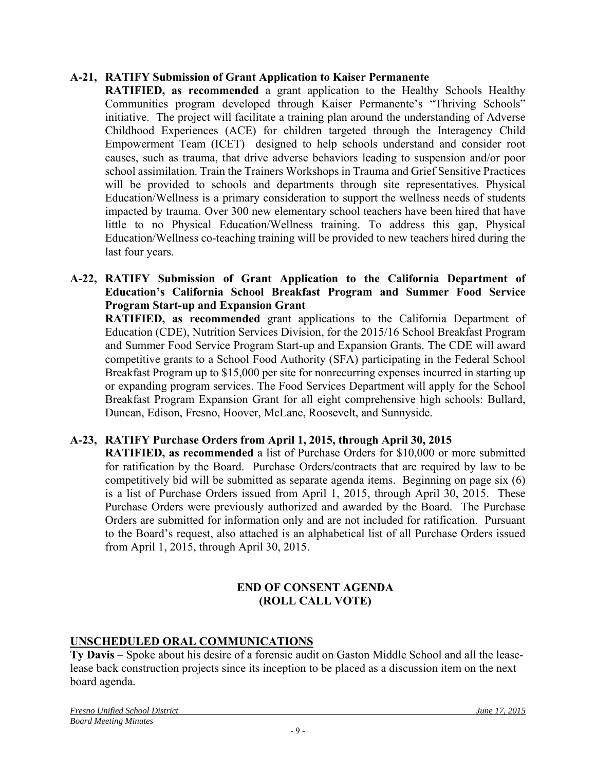### **A-21, RATIFY Submission of Grant Application to Kaiser Permanente**

**RATIFIED, as recommended** a grant application to the Healthy Schools Healthy Communities program developed through Kaiser Permanente's "Thriving Schools" initiative. The project will facilitate a training plan around the understanding of Adverse Childhood Experiences (ACE) for children targeted through the Interagency Child Empowerment Team (ICET) designed to help schools understand and consider root causes, such as trauma, that drive adverse behaviors leading to suspension and/or poor school assimilation. Train the Trainers Workshops in Trauma and Grief Sensitive Practices will be provided to schools and departments through site representatives. Physical Education/Wellness is a primary consideration to support the wellness needs of students impacted by trauma. Over 300 new elementary school teachers have been hired that have little to no Physical Education/Wellness training. To address this gap, Physical Education/Wellness co-teaching training will be provided to new teachers hired during the last four years.

### **A-22, RATIFY Submission of Grant Application to the California Department of Education's California School Breakfast Program and Summer Food Service Program Start-up and Expansion Grant**

**RATIFIED, as recommended** grant applications to the California Department of Education (CDE), Nutrition Services Division, for the 2015/16 School Breakfast Program and Summer Food Service Program Start-up and Expansion Grants. The CDE will award competitive grants to a School Food Authority (SFA) participating in the Federal School Breakfast Program up to \$15,000 per site for nonrecurring expenses incurred in starting up or expanding program services. The Food Services Department will apply for the School Breakfast Program Expansion Grant for all eight comprehensive high schools: Bullard, Duncan, Edison, Fresno, Hoover, McLane, Roosevelt, and Sunnyside.

### **A-23, RATIFY Purchase Orders from April 1, 2015, through April 30, 2015**

**RATIFIED, as recommended** a list of Purchase Orders for \$10,000 or more submitted for ratification by the Board. Purchase Orders/contracts that are required by law to be competitively bid will be submitted as separate agenda items. Beginning on page six (6) is a list of Purchase Orders issued from April 1, 2015, through April 30, 2015. These Purchase Orders were previously authorized and awarded by the Board. The Purchase Orders are submitted for information only and are not included for ratification. Pursuant to the Board's request, also attached is an alphabetical list of all Purchase Orders issued from April 1, 2015, through April 30, 2015.

### **END OF CONSENT AGENDA (ROLL CALL VOTE)**

## **UNSCHEDULED ORAL COMMUNICATIONS**

**Ty Davis** – Spoke about his desire of a forensic audit on Gaston Middle School and all the leaselease back construction projects since its inception to be placed as a discussion item on the next board agenda.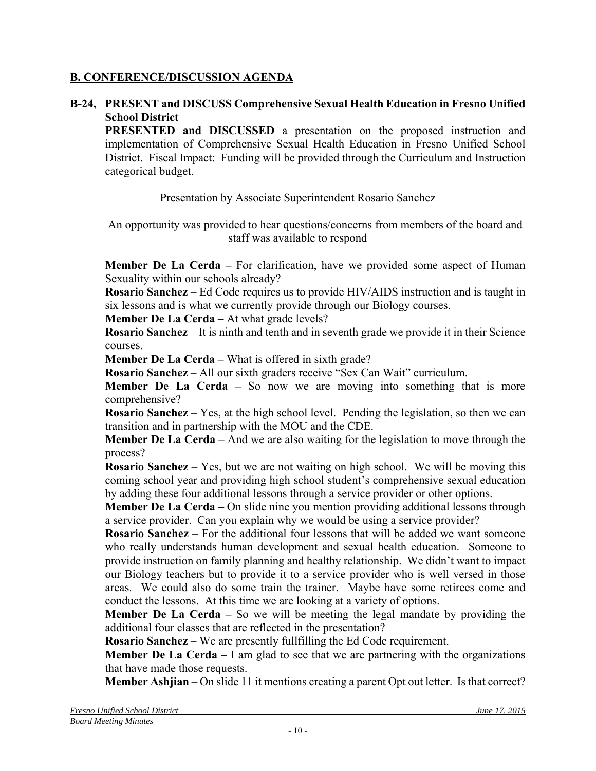## **B. CONFERENCE/DISCUSSION AGENDA**

### **B-24, PRESENT and DISCUSS Comprehensive Sexual Health Education in Fresno Unified School District**

**PRESENTED and DISCUSSED** a presentation on the proposed instruction and implementation of Comprehensive Sexual Health Education in Fresno Unified School District. Fiscal Impact: Funding will be provided through the Curriculum and Instruction categorical budget.

Presentation by Associate Superintendent Rosario Sanchez

An opportunity was provided to hear questions/concerns from members of the board and staff was available to respond

**Member De La Cerda –** For clarification, have we provided some aspect of Human Sexuality within our schools already?

**Rosario Sanchez** – Ed Code requires us to provide HIV/AIDS instruction and is taught in six lessons and is what we currently provide through our Biology courses.

**Member De La Cerda – At what grade levels?** 

**Rosario Sanchez** – It is ninth and tenth and in seventh grade we provide it in their Science courses.

**Member De La Cerda – What is offered in sixth grade?** 

**Rosario Sanchez** – All our sixth graders receive "Sex Can Wait" curriculum.

**Member De La Cerda – So now we are moving into something that is more** comprehensive?

**Rosario Sanchez** – Yes, at the high school level. Pending the legislation, so then we can transition and in partnership with the MOU and the CDE.

**Member De La Cerda –** And we are also waiting for the legislation to move through the process?

**Rosario Sanchez** – Yes, but we are not waiting on high school. We will be moving this coming school year and providing high school student's comprehensive sexual education by adding these four additional lessons through a service provider or other options.

**Member De La Cerda** – On slide nine you mention providing additional lessons through a service provider. Can you explain why we would be using a service provider?

**Rosario Sanchez** – For the additional four lessons that will be added we want someone who really understands human development and sexual health education. Someone to provide instruction on family planning and healthy relationship. We didn't want to impact our Biology teachers but to provide it to a service provider who is well versed in those areas. We could also do some train the trainer. Maybe have some retirees come and conduct the lessons. At this time we are looking at a variety of options.

**Member De La Cerda –** So we will be meeting the legal mandate by providing the additional four classes that are reflected in the presentation?

**Rosario Sanchez** – We are presently fullfilling the Ed Code requirement.

**Member De La Cerda** – I am glad to see that we are partnering with the organizations that have made those requests.

**Member Ashjian** – On slide 11 it mentions creating a parent Opt out letter. Is that correct?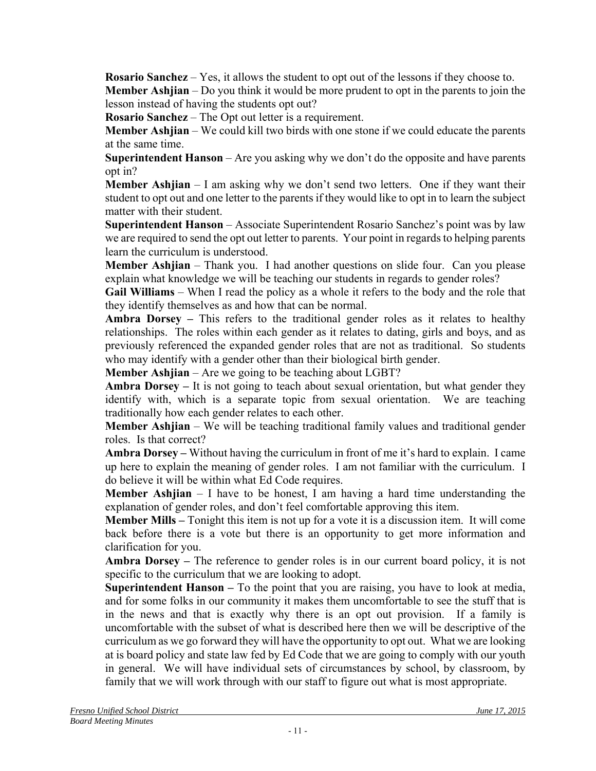**Rosario Sanchez** – Yes, it allows the student to opt out of the lessons if they choose to. **Member Ashjian** – Do you think it would be more prudent to opt in the parents to join the lesson instead of having the students opt out?

**Rosario Sanchez** – The Opt out letter is a requirement.

**Member Ashjian** – We could kill two birds with one stone if we could educate the parents at the same time.

**Superintendent Hanson** – Are you asking why we don't do the opposite and have parents opt in?

**Member Ashjian** – I am asking why we don't send two letters. One if they want their student to opt out and one letter to the parents if they would like to opt in to learn the subject matter with their student.

**Superintendent Hanson** – Associate Superintendent Rosario Sanchez's point was by law we are required to send the opt out letter to parents. Your point in regards to helping parents learn the curriculum is understood.

**Member Ashjian** – Thank you. I had another questions on slide four. Can you please explain what knowledge we will be teaching our students in regards to gender roles?

**Gail Williams** – When I read the policy as a whole it refers to the body and the role that they identify themselves as and how that can be normal.

**Ambra Dorsey –** This refers to the traditional gender roles as it relates to healthy relationships. The roles within each gender as it relates to dating, girls and boys, and as previously referenced the expanded gender roles that are not as traditional. So students who may identify with a gender other than their biological birth gender.

**Member Ashjian** – Are we going to be teaching about LGBT?

**Ambra Dorsey –** It is not going to teach about sexual orientation, but what gender they identify with, which is a separate topic from sexual orientation. We are teaching traditionally how each gender relates to each other.

**Member Ashjian** – We will be teaching traditional family values and traditional gender roles. Is that correct?

**Ambra Dorsey –** Without having the curriculum in front of me it's hard to explain. I came up here to explain the meaning of gender roles. I am not familiar with the curriculum. I do believe it will be within what Ed Code requires.

**Member Ashjian** – I have to be honest, I am having a hard time understanding the explanation of gender roles, and don't feel comfortable approving this item.

**Member Mills –** Tonight this item is not up for a vote it is a discussion item. It will come back before there is a vote but there is an opportunity to get more information and clarification for you.

**Ambra Dorsey –** The reference to gender roles is in our current board policy, it is not specific to the curriculum that we are looking to adopt.

**Superintendent Hanson –** To the point that you are raising, you have to look at media, and for some folks in our community it makes them uncomfortable to see the stuff that is in the news and that is exactly why there is an opt out provision. If a family is uncomfortable with the subset of what is described here then we will be descriptive of the curriculum as we go forward they will have the opportunity to opt out. What we are looking at is board policy and state law fed by Ed Code that we are going to comply with our youth in general. We will have individual sets of circumstances by school, by classroom, by family that we will work through with our staff to figure out what is most appropriate.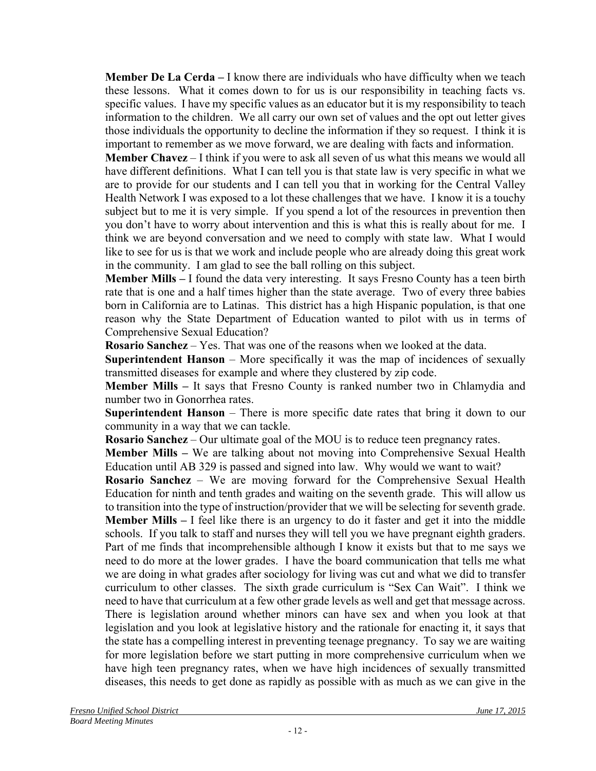**Member De La Cerda –** I know there are individuals who have difficulty when we teach these lessons. What it comes down to for us is our responsibility in teaching facts vs. specific values. I have my specific values as an educator but it is my responsibility to teach information to the children. We all carry our own set of values and the opt out letter gives those individuals the opportunity to decline the information if they so request. I think it is important to remember as we move forward, we are dealing with facts and information.

**Member Chavez** – I think if you were to ask all seven of us what this means we would all have different definitions. What I can tell you is that state law is very specific in what we are to provide for our students and I can tell you that in working for the Central Valley Health Network I was exposed to a lot these challenges that we have. I know it is a touchy subject but to me it is very simple. If you spend a lot of the resources in prevention then you don't have to worry about intervention and this is what this is really about for me. I think we are beyond conversation and we need to comply with state law. What I would like to see for us is that we work and include people who are already doing this great work in the community. I am glad to see the ball rolling on this subject.

**Member Mills –** I found the data very interesting. It says Fresno County has a teen birth rate that is one and a half times higher than the state average. Two of every three babies born in California are to Latinas. This district has a high Hispanic population, is that one reason why the State Department of Education wanted to pilot with us in terms of Comprehensive Sexual Education?

**Rosario Sanchez** – Yes. That was one of the reasons when we looked at the data.

**Superintendent Hanson** – More specifically it was the map of incidences of sexually transmitted diseases for example and where they clustered by zip code.

**Member Mills –** It says that Fresno County is ranked number two in Chlamydia and number two in Gonorrhea rates.

**Superintendent Hanson** – There is more specific date rates that bring it down to our community in a way that we can tackle.

**Rosario Sanchez** – Our ultimate goal of the MOU is to reduce teen pregnancy rates.

**Member Mills –** We are talking about not moving into Comprehensive Sexual Health Education until AB 329 is passed and signed into law. Why would we want to wait?

**Rosario Sanchez** – We are moving forward for the Comprehensive Sexual Health Education for ninth and tenth grades and waiting on the seventh grade. This will allow us to transition into the type of instruction/provider that we will be selecting for seventh grade.

**Member Mills –** I feel like there is an urgency to do it faster and get it into the middle schools. If you talk to staff and nurses they will tell you we have pregnant eighth graders. Part of me finds that incomprehensible although I know it exists but that to me says we need to do more at the lower grades. I have the board communication that tells me what we are doing in what grades after sociology for living was cut and what we did to transfer curriculum to other classes. The sixth grade curriculum is "Sex Can Wait". I think we need to have that curriculum at a few other grade levels as well and get that message across. There is legislation around whether minors can have sex and when you look at that legislation and you look at legislative history and the rationale for enacting it, it says that the state has a compelling interest in preventing teenage pregnancy. To say we are waiting for more legislation before we start putting in more comprehensive curriculum when we have high teen pregnancy rates, when we have high incidences of sexually transmitted diseases, this needs to get done as rapidly as possible with as much as we can give in the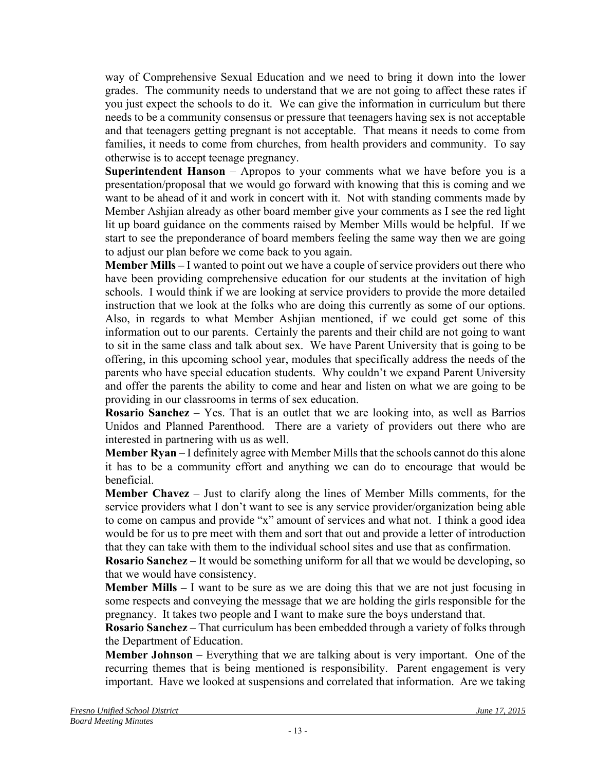way of Comprehensive Sexual Education and we need to bring it down into the lower grades. The community needs to understand that we are not going to affect these rates if you just expect the schools to do it. We can give the information in curriculum but there needs to be a community consensus or pressure that teenagers having sex is not acceptable and that teenagers getting pregnant is not acceptable. That means it needs to come from families, it needs to come from churches, from health providers and community. To say otherwise is to accept teenage pregnancy.

**Superintendent Hanson** – Apropos to your comments what we have before you is a presentation/proposal that we would go forward with knowing that this is coming and we want to be ahead of it and work in concert with it. Not with standing comments made by Member Ashjian already as other board member give your comments as I see the red light lit up board guidance on the comments raised by Member Mills would be helpful. If we start to see the preponderance of board members feeling the same way then we are going to adjust our plan before we come back to you again.

**Member Mills –** I wanted to point out we have a couple of service providers out there who have been providing comprehensive education for our students at the invitation of high schools. I would think if we are looking at service providers to provide the more detailed instruction that we look at the folks who are doing this currently as some of our options. Also, in regards to what Member Ashjian mentioned, if we could get some of this information out to our parents. Certainly the parents and their child are not going to want to sit in the same class and talk about sex. We have Parent University that is going to be offering, in this upcoming school year, modules that specifically address the needs of the parents who have special education students. Why couldn't we expand Parent University and offer the parents the ability to come and hear and listen on what we are going to be providing in our classrooms in terms of sex education.

**Rosario Sanchez** – Yes. That is an outlet that we are looking into, as well as Barrios Unidos and Planned Parenthood. There are a variety of providers out there who are interested in partnering with us as well.

**Member Ryan** – I definitely agree with Member Mills that the schools cannot do this alone it has to be a community effort and anything we can do to encourage that would be beneficial.

**Member Chavez** – Just to clarify along the lines of Member Mills comments, for the service providers what I don't want to see is any service provider/organization being able to come on campus and provide "x" amount of services and what not. I think a good idea would be for us to pre meet with them and sort that out and provide a letter of introduction that they can take with them to the individual school sites and use that as confirmation.

**Rosario Sanchez** – It would be something uniform for all that we would be developing, so that we would have consistency.

**Member Mills –** I want to be sure as we are doing this that we are not just focusing in some respects and conveying the message that we are holding the girls responsible for the pregnancy. It takes two people and I want to make sure the boys understand that.

**Rosario Sanchez** – That curriculum has been embedded through a variety of folks through the Department of Education.

**Member Johnson** – Everything that we are talking about is very important. One of the recurring themes that is being mentioned is responsibility. Parent engagement is very important. Have we looked at suspensions and correlated that information. Are we taking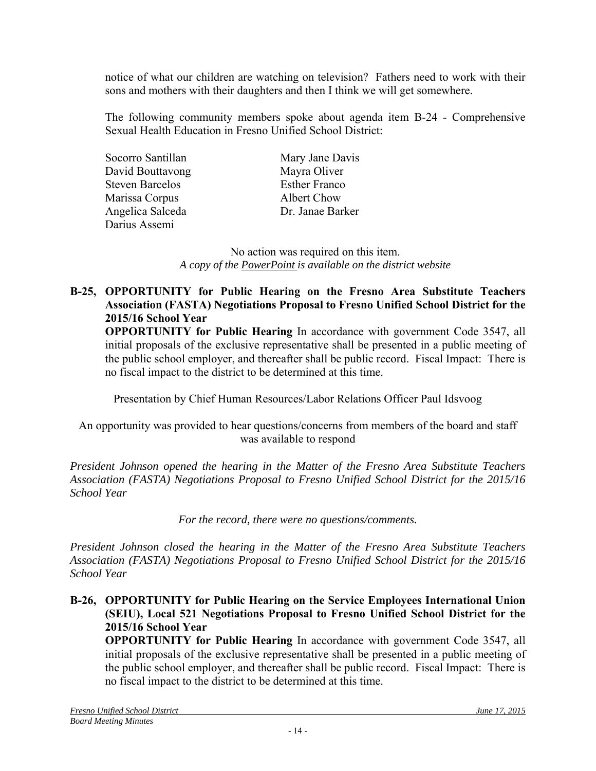notice of what our children are watching on television? Fathers need to work with their sons and mothers with their daughters and then I think we will get somewhere.

The following community members spoke about agenda item B-24 - Comprehensive Sexual Health Education in Fresno Unified School District:

Socorro Santillan Mary Jane Davis David Bouttavong Mayra Oliver Steven Barcelos Esther Franco Marissa Corpus Albert Chow Angelica Salceda Dr. Janae Barker Darius Assemi

No action was required on this item. *A copy of the PowerPoint is available on the district website*

### **B-25, OPPORTUNITY for Public Hearing on the Fresno Area Substitute Teachers Association (FASTA) Negotiations Proposal to Fresno Unified School District for the 2015/16 School Year**

 **OPPORTUNITY for Public Hearing** In accordance with government Code 3547, all initial proposals of the exclusive representative shall be presented in a public meeting of the public school employer, and thereafter shall be public record. Fiscal Impact: There is no fiscal impact to the district to be determined at this time.

Presentation by Chief Human Resources/Labor Relations Officer Paul Idsvoog

An opportunity was provided to hear questions/concerns from members of the board and staff was available to respond

*President Johnson opened the hearing in the Matter of the Fresno Area Substitute Teachers Association (FASTA) Negotiations Proposal to Fresno Unified School District for the 2015/16 School Year* 

*For the record, there were no questions/comments.* 

*President Johnson closed the hearing in the Matter of the Fresno Area Substitute Teachers Association (FASTA) Negotiations Proposal to Fresno Unified School District for the 2015/16 School Year* 

**B-26, OPPORTUNITY for Public Hearing on the Service Employees International Union (SEIU), Local 521 Negotiations Proposal to Fresno Unified School District for the 2015/16 School Year** 

**OPPORTUNITY for Public Hearing** In accordance with government Code 3547, all initial proposals of the exclusive representative shall be presented in a public meeting of the public school employer, and thereafter shall be public record. Fiscal Impact: There is no fiscal impact to the district to be determined at this time.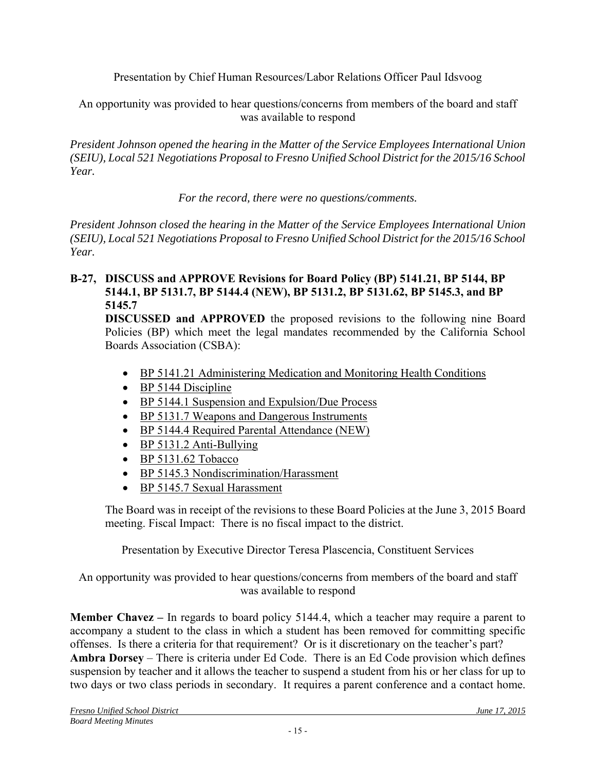Presentation by Chief Human Resources/Labor Relations Officer Paul Idsvoog

An opportunity was provided to hear questions/concerns from members of the board and staff was available to respond

*President Johnson opened the hearing in the Matter of the Service Employees International Union (SEIU), Local 521 Negotiations Proposal to Fresno Unified School District for the 2015/16 School Year.* 

*For the record, there were no questions/comments.* 

*President Johnson closed the hearing in the Matter of the Service Employees International Union (SEIU), Local 521 Negotiations Proposal to Fresno Unified School District for the 2015/16 School Year.* 

## **B-27, DISCUSS and APPROVE Revisions for Board Policy (BP) 5141.21, BP 5144, BP 5144.1, BP 5131.7, BP 5144.4 (NEW), BP 5131.2, BP 5131.62, BP 5145.3, and BP 5145.7**

**DISCUSSED and APPROVED** the proposed revisions to the following nine Board Policies (BP) which meet the legal mandates recommended by the California School Boards Association (CSBA):

- BP 5141.21 Administering Medication and Monitoring Health Conditions
- BP 5144 Discipline
- BP 5144.1 Suspension and Expulsion/Due Process
- BP 5131.7 Weapons and Dangerous Instruments
- BP 5144.4 Required Parental Attendance (NEW)
- BP 5131.2 Anti-Bullying
- BP 5131.62 Tobacco
- BP 5145.3 Nondiscrimination/Harassment
- BP 5145.7 Sexual Harassment

The Board was in receipt of the revisions to these Board Policies at the June 3, 2015 Board meeting. Fiscal Impact: There is no fiscal impact to the district.

Presentation by Executive Director Teresa Plascencia, Constituent Services

An opportunity was provided to hear questions/concerns from members of the board and staff was available to respond

**Member Chavez –** In regards to board policy 5144.4, which a teacher may require a parent to accompany a student to the class in which a student has been removed for committing specific offenses. Is there a criteria for that requirement? Or is it discretionary on the teacher's part? **Ambra Dorsey** – There is criteria under Ed Code. There is an Ed Code provision which defines suspension by teacher and it allows the teacher to suspend a student from his or her class for up to two days or two class periods in secondary. It requires a parent conference and a contact home.